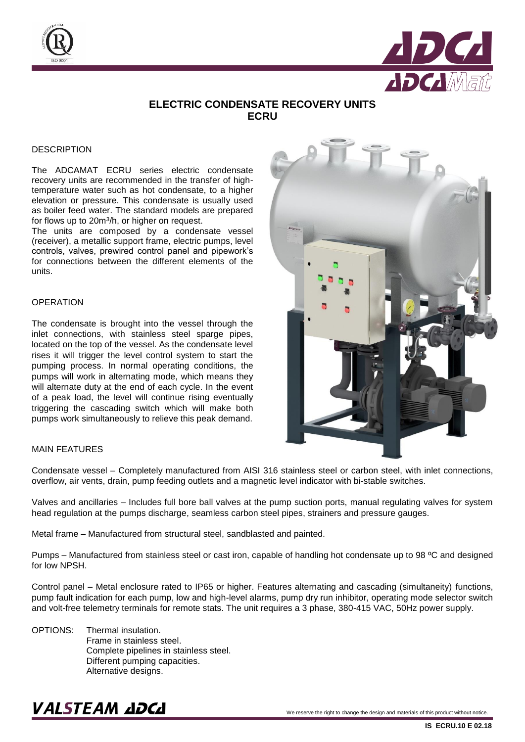



## **ELECTRIC CONDENSATE RECOVERY UNITS ECRU**

#### **DESCRIPTION**

The ADCAMAT ECRU series electric condensate recovery units are recommended in the transfer of hightemperature water such as hot condensate, to a higher elevation or pressure. This condensate is usually used as boiler feed water. The standard models are prepared for flows up to 20m<sup>3</sup>/h, or higher on request.

The units are composed by a condensate vessel (receiver), a metallic support frame, electric pumps, level controls, valves, prewired control panel and pipework's for connections between the different elements of the units.

#### **OPERATION**

The condensate is brought into the vessel through the inlet connections, with stainless steel sparge pipes, located on the top of the vessel. As the condensate level rises it will trigger the level control system to start the pumping process. In normal operating conditions, the pumps will work in alternating mode, which means they will alternate duty at the end of each cycle. In the event of a peak load, the level will continue rising eventually triggering the cascading switch which will make both pumps work simultaneously to relieve this peak demand.

#### MAIN FEATURES

Condensate vessel – Completely manufactured from AISI 316 stainless steel or carbon steel, with inlet connections, overflow, air vents, drain, pump feeding outlets and a magnetic level indicator with bi-stable switches.

Valves and ancillaries – Includes full bore ball valves at the pump suction ports, manual regulating valves for system head regulation at the pumps discharge, seamless carbon steel pipes, strainers and pressure gauges.

Metal frame – Manufactured from structural steel, sandblasted and painted.

Pumps – Manufactured from stainless steel or cast iron, capable of handling hot condensate up to 98 ºC and designed for low NPSH.

Control panel – Metal enclosure rated to IP65 or higher. Features alternating and cascading (simultaneity) functions, pump fault indication for each pump, low and high-level alarms, pump dry run inhibitor, operating mode selector switch and volt-free telemetry terminals for remote stats. The unit requires a 3 phase, 380-415 VAC, 50Hz power supply.

OPTIONS: Thermal insulation. Frame in stainless steel. Complete pipelines in stainless steel. Different pumping capacities. Alternative designs.

## $\textbf{VALSTEAM}$   $\textbf{ZDCL}$  we reserve the right to change the design and materials of this product without notice.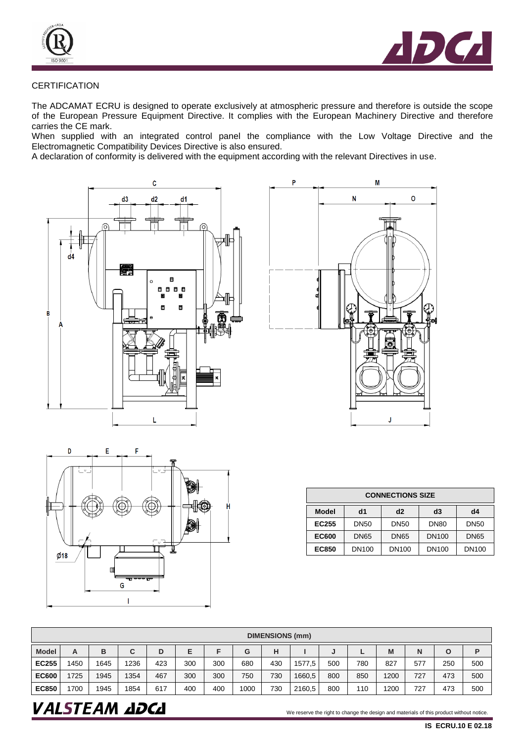



### **CERTIFICATION**

The ADCAMAT ECRU is designed to operate exclusively at atmospheric pressure and therefore is outside the scope of the European Pressure Equipment Directive. It complies with the European Machinery Directive and therefore carries the CE mark.

When supplied with an integrated control panel the compliance with the Low Voltage Directive and the Electromagnetic Compatibility Devices Directive is also ensured.

A declaration of conformity is delivered with the equipment according with the relevant Directives in use.







| <b>CONNECTIONS SIZE</b> |             |              |              |              |  |  |  |  |  |
|-------------------------|-------------|--------------|--------------|--------------|--|--|--|--|--|
| Model                   | d1          | d2           | d3           | d4           |  |  |  |  |  |
| EC255                   | DN50        | <b>DN50</b>  | <b>DN80</b>  | <b>DN50</b>  |  |  |  |  |  |
| <b>EC600</b>            | <b>DN65</b> |              | <b>DN100</b> | <b>DN65</b>  |  |  |  |  |  |
| <b>EC850</b>            | DN100       | <b>DN100</b> | <b>DN100</b> | <b>DN100</b> |  |  |  |  |  |

| <b>DIMENSIONS (mm)</b> |     |      |      |     |     |     |      |     |        |     |          |      |     |     |     |
|------------------------|-----|------|------|-----|-----|-----|------|-----|--------|-----|----------|------|-----|-----|-----|
| <b>Model</b>           | А   | B    | C    | D   | Е   |     | G    | н   |        | J   | <b>.</b> | M    | N   | O   | Р   |
| <b>EC255</b>           | 450 | 1645 | 1236 | 423 | 300 | 300 | 680  | 430 | 1577.5 | 500 | 780      | 827  | 577 | 250 | 500 |
| <b>EC600</b>           | 725 | 1945 | 1354 | 467 | 300 | 300 | 750  | 730 | 1660,5 | 800 | 850      | 1200 | 727 | 473 | 500 |
| <b>EC850</b>           | 700 | 1945 | 1854 | 617 | 400 | 400 | 1000 | 730 | 2160.5 | 800 | 110      | 1200 | 727 | 473 | 500 |

## $\bm{VALSTEAM}$  and  $\bm{DCL}$  we reserve the right to change the design and materials of this product without notice.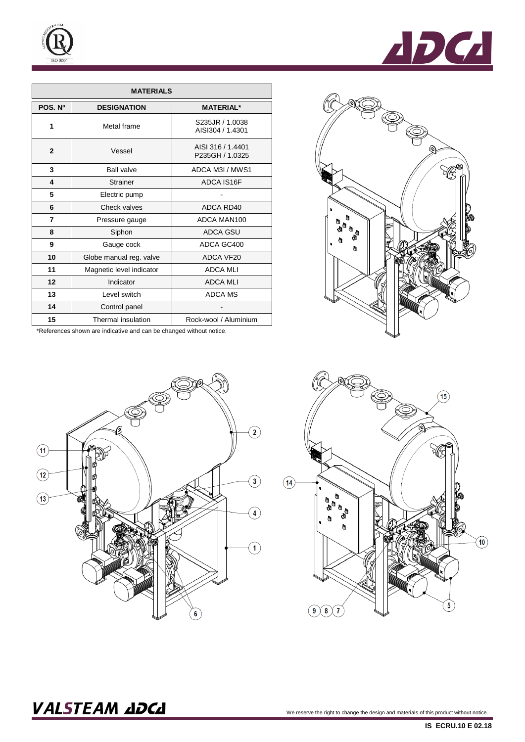

| <b>MATERIALS</b> |                          |                                      |  |  |  |  |  |  |  |
|------------------|--------------------------|--------------------------------------|--|--|--|--|--|--|--|
| POS. Nº          | <b>DESIGNATION</b>       | <b>MATERIAL*</b>                     |  |  |  |  |  |  |  |
| 1                | Metal frame              | S235JR / 1.0038<br>AISI304 / 1.4301  |  |  |  |  |  |  |  |
| $\mathbf{2}$     | Vessel                   | AISI 316 / 1.4401<br>P235GH / 1.0325 |  |  |  |  |  |  |  |
| 3                | <b>Ball valve</b>        | ADCA M3I / MWS1                      |  |  |  |  |  |  |  |
| 4                | <b>Strainer</b>          | ADCA IS16F                           |  |  |  |  |  |  |  |
| 5                | Electric pump            |                                      |  |  |  |  |  |  |  |
| 6                | Check valves             | ADCA RD40                            |  |  |  |  |  |  |  |
| 7                | Pressure gauge           | ADCA MAN100                          |  |  |  |  |  |  |  |
| 8                | Siphon                   | <b>ADCA GSU</b>                      |  |  |  |  |  |  |  |
| 9                | Gauge cock               | ADCA GC400                           |  |  |  |  |  |  |  |
| 10               | Globe manual reg. valve  | ADCA VF20                            |  |  |  |  |  |  |  |
| 11               | Magnetic level indicator | <b>ADCA MLI</b>                      |  |  |  |  |  |  |  |
| 12               | Indicator                | <b>ADCA MLI</b>                      |  |  |  |  |  |  |  |
| 13               | Level switch             | <b>ADCA MS</b>                       |  |  |  |  |  |  |  |
| 14               | Control panel            |                                      |  |  |  |  |  |  |  |
| 15               | Thermal insulation       | Rock-wool / Aluminium                |  |  |  |  |  |  |  |

\*References shown are indicative and can be changed without notice.









## $\bm{VALSTEAM}$  and  $\bm{VALSTEAM}$